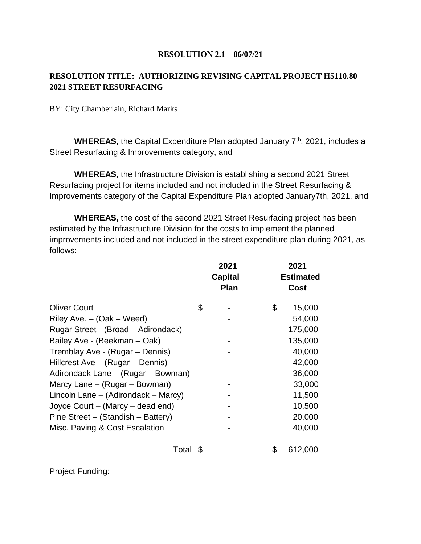#### **RESOLUTION 2.1 – 06/07/21**

## **RESOLUTION TITLE: AUTHORIZING REVISING CAPITAL PROJECT H5110.80 – 2021 STREET RESURFACING**

BY: City Chamberlain, Richard Marks

WHEREAS, the Capital Expenditure Plan adopted January 7<sup>th</sup>, 2021, includes a Street Resurfacing & Improvements category, and

**WHEREAS**, the Infrastructure Division is establishing a second 2021 Street Resurfacing project for items included and not included in the Street Resurfacing & Improvements category of the Capital Expenditure Plan adopted January7th, 2021, and

**WHEREAS,** the cost of the second 2021 Street Resurfacing project has been estimated by the Infrastructure Division for the costs to implement the planned improvements included and not included in the street expenditure plan during 2021, as follows:

|                                      | 2021<br><b>Capital</b><br><b>Plan</b> | 2021<br><b>Estimated</b><br>Cost |  |
|--------------------------------------|---------------------------------------|----------------------------------|--|
| <b>Oliver Court</b>                  | \$                                    | \$<br>15,000                     |  |
| Riley Ave. $-$ (Oak $-$ Weed)        |                                       | 54,000                           |  |
| Rugar Street - (Broad – Adirondack)  |                                       | 175,000                          |  |
| Bailey Ave - (Beekman - Oak)         |                                       | 135,000                          |  |
| Tremblay Ave - (Rugar – Dennis)      |                                       | 40,000                           |  |
| Hillcrest Ave - (Rugar - Dennis)     |                                       | 42,000                           |  |
| Adirondack Lane – (Rugar – Bowman)   |                                       | 36,000                           |  |
| Marcy Lane – (Rugar – Bowman)        |                                       | 33,000                           |  |
| Lincoln Lane – (Adirondack – Marcy)  |                                       | 11,500                           |  |
| Joyce Court $-$ (Marcy $-$ dead end) |                                       | 10,500                           |  |
| Pine Street – (Standish – Battery)   |                                       | 20,000                           |  |
| Misc. Paving & Cost Escalation       |                                       | 40,000                           |  |
| Total                                |                                       | 612,000                          |  |

Project Funding: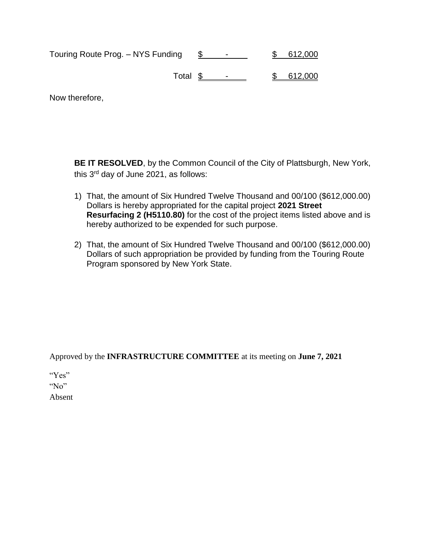| Touring Route Prog. - NYS Funding |  | 612,000 |
|-----------------------------------|--|---------|
| Total \$                          |  | 612,000 |

Now therefore,

**BE IT RESOLVED**, by the Common Council of the City of Plattsburgh, New York, this 3rd day of June 2021, as follows:

- 1) That, the amount of Six Hundred Twelve Thousand and 00/100 (\$612,000.00) Dollars is hereby appropriated for the capital project **2021 Street Resurfacing 2 (H5110.80)** for the cost of the project items listed above and is hereby authorized to be expended for such purpose.
- 2) That, the amount of Six Hundred Twelve Thousand and 00/100 (\$612,000.00) Dollars of such appropriation be provided by funding from the Touring Route Program sponsored by New York State.

Approved by the **INFRASTRUCTURE COMMITTEE** at its meeting on **June 7, 2021**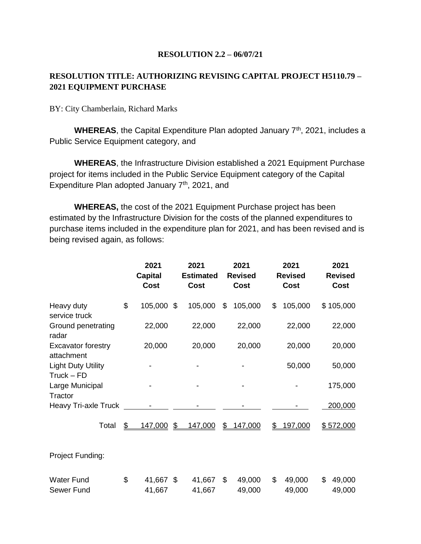#### **RESOLUTION 2.2 – 06/07/21**

## **RESOLUTION TITLE: AUTHORIZING REVISING CAPITAL PROJECT H5110.79 – 2021 EQUIPMENT PURCHASE**

BY: City Chamberlain, Richard Marks

WHEREAS, the Capital Expenditure Plan adopted January 7<sup>th</sup>, 2021, includes a Public Service Equipment category, and

**WHEREAS**, the Infrastructure Division established a 2021 Equipment Purchase project for items included in the Public Service Equipment category of the Capital Expenditure Plan adopted January  $7<sup>th</sup>$ , 2021, and

**WHEREAS,** the cost of the 2021 Equipment Purchase project has been estimated by the Infrastructure Division for the costs of the planned expenditures to purchase items included in the expenditure plan for 2021, and has been revised and is being revised again, as follows:

|                                           | 2021<br><b>Capital</b><br>Cost |               | 2021<br><b>Estimated</b><br>Cost | 2021<br><b>Revised</b><br><b>Cost</b> | 2021<br><b>Revised</b><br><b>Cost</b> | 2021<br><b>Revised</b><br><b>Cost</b> |
|-------------------------------------------|--------------------------------|---------------|----------------------------------|---------------------------------------|---------------------------------------|---------------------------------------|
| Heavy duty<br>service truck               | \$<br>105,000 \$               |               | 105,000                          | \$<br>105,000                         | \$<br>105,000                         | \$105,000                             |
| Ground penetrating<br>radar               | 22,000                         |               | 22,000                           | 22,000                                | 22,000                                | 22,000                                |
| <b>Excavator forestry</b><br>attachment   | 20,000                         |               | 20,000                           | 20,000                                | 20,000                                | 20,000                                |
| <b>Light Duty Utility</b><br>$Truck - FD$ |                                |               |                                  |                                       | 50,000                                | 50,000                                |
| Large Municipal<br>Tractor                |                                |               |                                  |                                       |                                       | 175,000                               |
| <b>Heavy Tri-axle Truck</b>               |                                |               |                                  |                                       |                                       | 200,000                               |
| Total                                     | \$<br><u>147,000</u>           | $\mathcal{L}$ | 147,000                          | \$<br>147,000                         | \$<br>197,000                         | \$572,000                             |
| Project Funding:                          |                                |               |                                  |                                       |                                       |                                       |
| <b>Water Fund</b><br>Sewer Fund           | \$<br>41,667 \$<br>41,667      |               | 41,667<br>41,667                 | \$<br>49,000<br>49,000                | \$<br>49,000<br>49,000                | \$<br>49,000<br>49,000                |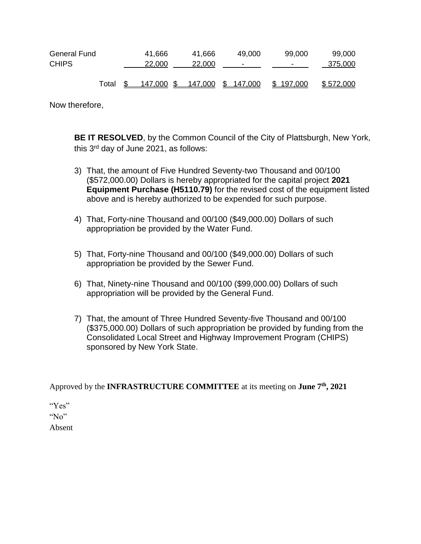| General Fund |       | 41,666 | 41.666                        | 49,000 | 99,000    | 99,000    |
|--------------|-------|--------|-------------------------------|--------|-----------|-----------|
| <b>CHIPS</b> |       | 22,000 | 22,000                        | ۰      | -         | 375,000   |
|              |       |        |                               |        |           |           |
|              | Total |        | 147,000 \$ 147,000 \$ 147,000 |        | \$197,000 | \$572,000 |

Now therefore,

**BE IT RESOLVED**, by the Common Council of the City of Plattsburgh, New York, this 3rd day of June 2021, as follows:

- 3) That, the amount of Five Hundred Seventy-two Thousand and 00/100 (\$572,000.00) Dollars is hereby appropriated for the capital project **2021 Equipment Purchase (H5110.79)** for the revised cost of the equipment listed above and is hereby authorized to be expended for such purpose.
- 4) That, Forty-nine Thousand and 00/100 (\$49,000.00) Dollars of such appropriation be provided by the Water Fund.
- 5) That, Forty-nine Thousand and 00/100 (\$49,000.00) Dollars of such appropriation be provided by the Sewer Fund.
- 6) That, Ninety-nine Thousand and 00/100 (\$99,000.00) Dollars of such appropriation will be provided by the General Fund.
- 7) That, the amount of Three Hundred Seventy-five Thousand and 00/100 (\$375,000.00) Dollars of such appropriation be provided by funding from the Consolidated Local Street and Highway Improvement Program (CHIPS) sponsored by New York State.

Approved by the **INFRASTRUCTURE COMMITTEE** at its meeting on **June 7th , 2021**

"Yes"

"No"

Absent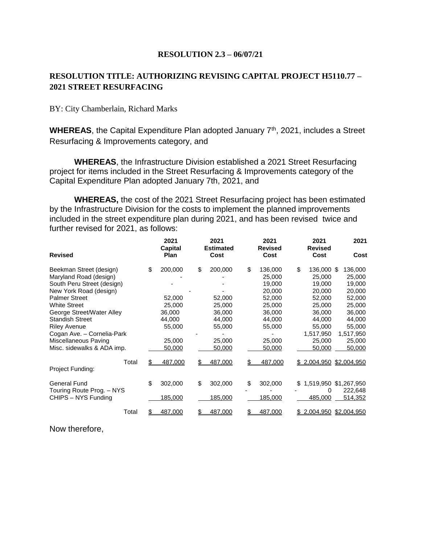#### **RESOLUTION 2.3 – 06/07/21**

## **RESOLUTION TITLE: AUTHORIZING REVISING CAPITAL PROJECT H5110.77 – 2021 STREET RESURFACING**

#### BY: City Chamberlain, Richard Marks

WHEREAS, the Capital Expenditure Plan adopted January 7<sup>th</sup>, 2021, includes a Street Resurfacing & Improvements category, and

**WHEREAS**, the Infrastructure Division established a 2021 Street Resurfacing project for items included in the Street Resurfacing & Improvements category of the Capital Expenditure Plan adopted January 7th, 2021, and

**WHEREAS,** the cost of the 2021 Street Resurfacing project has been estimated by the Infrastructure Division for the costs to implement the planned improvements included in the street expenditure plan during 2021, and has been revised twice and further revised for 2021, as follows:

| <b>Revised</b>                                                                                                                                                                                                                                                                               | 2021<br>Capital<br><b>Plan</b>                                            | 2021<br><b>Estimated</b><br>Cost                                          | 2021<br><b>Revised</b><br>Cost                                                                          | 2021<br><b>Revised</b><br>Cost                                                                                          | 2021<br>Cost                                                                                                   |
|----------------------------------------------------------------------------------------------------------------------------------------------------------------------------------------------------------------------------------------------------------------------------------------------|---------------------------------------------------------------------------|---------------------------------------------------------------------------|---------------------------------------------------------------------------------------------------------|-------------------------------------------------------------------------------------------------------------------------|----------------------------------------------------------------------------------------------------------------|
| Beekman Street (design)<br>Maryland Road (design)<br>South Peru Street (design)<br>New York Road (design)<br><b>Palmer Street</b><br><b>White Street</b><br>George Street/Water Alley<br><b>Standish Street</b><br><b>Riley Avenue</b><br>Cogan Ave. - Cornelia-Park<br>Miscellaneous Paving | \$<br>200,000<br>52,000<br>25,000<br>36,000<br>44,000<br>55,000<br>25,000 | \$<br>200,000<br>52,000<br>25,000<br>36,000<br>44,000<br>55,000<br>25,000 | \$<br>136,000<br>25,000<br>19,000<br>20,000<br>52,000<br>25,000<br>36,000<br>44,000<br>55,000<br>25,000 | \$<br>136,000 \$<br>25,000<br>19,000<br>20,000<br>52,000<br>25,000<br>36,000<br>44,000<br>55,000<br>1,517,950<br>25,000 | 136,000<br>25,000<br>19,000<br>20,000<br>52,000<br>25,000<br>36,000<br>44,000<br>55,000<br>1,517,950<br>25,000 |
| Misc. sidewalks & ADA imp.                                                                                                                                                                                                                                                                   | 50,000                                                                    | 50,000                                                                    | 50,000                                                                                                  | 50,000                                                                                                                  | 50,000                                                                                                         |
| Total<br>Project Funding:                                                                                                                                                                                                                                                                    | 487,000<br>S                                                              | 487,000<br>\$.                                                            | 487,000<br>\$.                                                                                          | <u>\$2,004,950 \$2,004,950</u>                                                                                          |                                                                                                                |
| <b>General Fund</b><br>Touring Route Prog. - NYS<br>CHIPS - NYS Funding                                                                                                                                                                                                                      | \$<br>302,000<br>185,000                                                  | \$<br>302,000<br>185,000                                                  | \$<br>302,000<br>185,000                                                                                | \$<br>0<br>485,000                                                                                                      | 1,519,950 \$1,267,950<br>222,648<br>514,352                                                                    |
| Total                                                                                                                                                                                                                                                                                        | \$<br>487,000                                                             | 487,000                                                                   | 487,000<br>S                                                                                            | \$2,004,950                                                                                                             | \$2,004,950                                                                                                    |

Now therefore,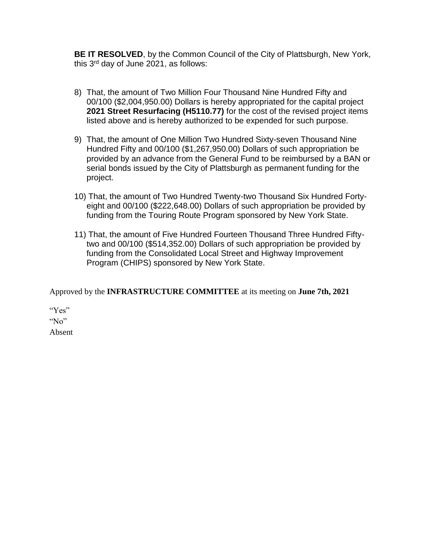**BE IT RESOLVED**, by the Common Council of the City of Plattsburgh, New York, this  $3<sup>rd</sup>$  day of June 2021, as follows:

- 8) That, the amount of Two Million Four Thousand Nine Hundred Fifty and 00/100 (\$2,004,950.00) Dollars is hereby appropriated for the capital project **2021 Street Resurfacing (H5110.77)** for the cost of the revised project items listed above and is hereby authorized to be expended for such purpose.
- 9) That, the amount of One Million Two Hundred Sixty-seven Thousand Nine Hundred Fifty and 00/100 (\$1,267,950.00) Dollars of such appropriation be provided by an advance from the General Fund to be reimbursed by a BAN or serial bonds issued by the City of Plattsburgh as permanent funding for the project.
- 10) That, the amount of Two Hundred Twenty-two Thousand Six Hundred Fortyeight and 00/100 (\$222,648.00) Dollars of such appropriation be provided by funding from the Touring Route Program sponsored by New York State.
- 11) That, the amount of Five Hundred Fourteen Thousand Three Hundred Fiftytwo and 00/100 (\$514,352.00) Dollars of such appropriation be provided by funding from the Consolidated Local Street and Highway Improvement Program (CHIPS) sponsored by New York State.

Approved by the **INFRASTRUCTURE COMMITTEE** at its meeting on **June 7th, 2021**

"Yes" "No"

Absent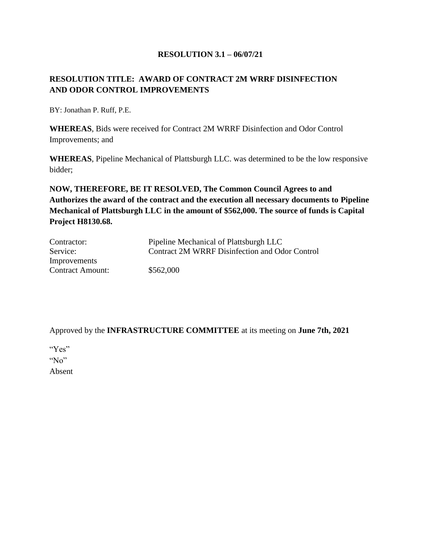#### **RESOLUTION 3.1 – 06/07/21**

## **RESOLUTION TITLE: AWARD OF CONTRACT 2M WRRF DISINFECTION AND ODOR CONTROL IMPROVEMENTS**

BY: Jonathan P. Ruff, P.E.

**WHEREAS**, Bids were received for Contract 2M WRRF Disinfection and Odor Control Improvements; and

**WHEREAS**, Pipeline Mechanical of Plattsburgh LLC. was determined to be the low responsive bidder;

**NOW, THEREFORE, BE IT RESOLVED, The Common Council Agrees to and Authorizes the award of the contract and the execution all necessary documents to Pipeline Mechanical of Plattsburgh LLC in the amount of \$562,000. The source of funds is Capital Project H8130.68.**

| Contractor:             | Pipeline Mechanical of Plattsburgh LLC         |
|-------------------------|------------------------------------------------|
| Service:                | Contract 2M WRRF Disinfection and Odor Control |
| Improvements            |                                                |
| <b>Contract Amount:</b> | \$562,000                                      |

Approved by the **INFRASTRUCTURE COMMITTEE** at its meeting on **June 7th, 2021**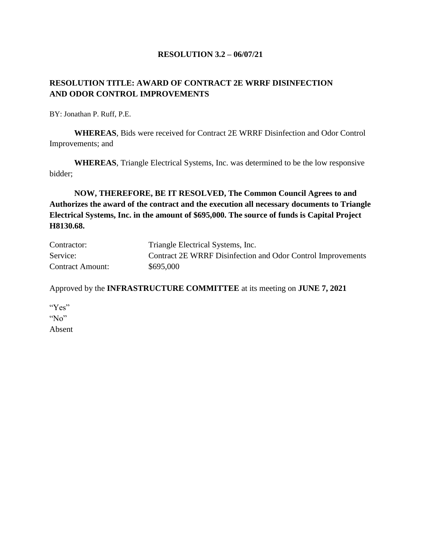#### **RESOLUTION 3.2 – 06/07/21**

## **RESOLUTION TITLE: AWARD OF CONTRACT 2E WRRF DISINFECTION AND ODOR CONTROL IMPROVEMENTS**

BY: Jonathan P. Ruff, P.E.

**WHEREAS**, Bids were received for Contract 2E WRRF Disinfection and Odor Control Improvements; and

**WHEREAS**, Triangle Electrical Systems, Inc. was determined to be the low responsive bidder;

**NOW, THEREFORE, BE IT RESOLVED, The Common Council Agrees to and Authorizes the award of the contract and the execution all necessary documents to Triangle Electrical Systems, Inc. in the amount of \$695,000. The source of funds is Capital Project H8130.68.**

| Contractor:             | Triangle Electrical Systems, Inc.                           |
|-------------------------|-------------------------------------------------------------|
| Service:                | Contract 2E WRRF Disinfection and Odor Control Improvements |
| <b>Contract Amount:</b> | \$695,000                                                   |

Approved by the **INFRASTRUCTURE COMMITTEE** at its meeting on **JUNE 7, 2021**

| " $Yes$ " |
|-----------|
| $N_0$     |
| Absent    |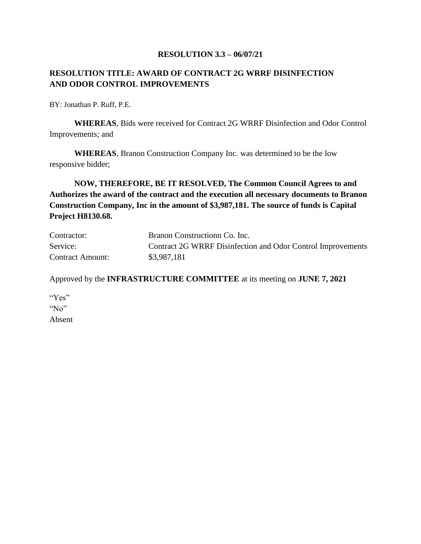#### **RESOLUTION 3.3 – 06/07/21**

### **RESOLUTION TITLE: AWARD OF CONTRACT 2G WRRF DISINFECTION AND ODOR CONTROL IMPROVEMENTS**

BY: Jonathan P. Ruff, P.E.

**WHEREAS**, Bids were received for Contract 2G WRRF Disinfection and Odor Control Improvements; and

**WHEREAS**, Branon Construction Company Inc. was determined to be the low responsive bidder;

**NOW, THEREFORE, BE IT RESOLVED, The Common Council Agrees to and Authorizes the award of the contract and the execution all necessary documents to Branon Construction Company, Inc in the amount of \$3,987,181. The source of funds is Capital Project H8130.68.**

| Contractor:             | Branon Construction Co. Inc.                                |
|-------------------------|-------------------------------------------------------------|
| Service:                | Contract 2G WRRF Disinfection and Odor Control Improvements |
| <b>Contract Amount:</b> | \$3,987,181                                                 |

Approved by the **INFRASTRUCTURE COMMITTEE** at its meeting on **JUNE 7, 2021**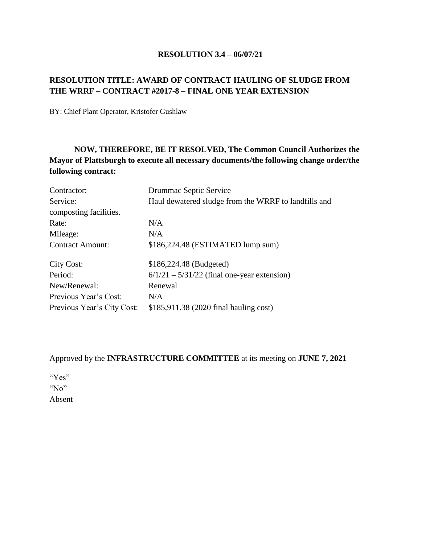#### **RESOLUTION 3.4 – 06/07/21**

## **RESOLUTION TITLE: AWARD OF CONTRACT HAULING OF SLUDGE FROM THE WRRF – CONTRACT #2017-8 – FINAL ONE YEAR EXTENSION**

BY: Chief Plant Operator, Kristofer Gushlaw

# **NOW, THEREFORE, BE IT RESOLVED, The Common Council Authorizes the Mayor of Plattsburgh to execute all necessary documents/the following change order/the following contract:**

| Contractor:                | Drummac Septic Service                               |
|----------------------------|------------------------------------------------------|
| Service:                   | Haul dewatered sludge from the WRRF to landfills and |
| composting facilities.     |                                                      |
| Rate:                      | N/A                                                  |
| Mileage:                   | N/A                                                  |
| <b>Contract Amount:</b>    | \$186,224.48 (ESTIMATED lump sum)                    |
| City Cost:                 | \$186,224.48 (Budgeted)                              |
| Period:                    | $6/1/21 - 5/31/22$ (final one-year extension)        |
| New/Renewal:               | Renewal                                              |
| Previous Year's Cost:      | N/A                                                  |
| Previous Year's City Cost: | \$185,911.38 (2020 final hauling cost)               |

### Approved by the **INFRASTRUCTURE COMMITTEE** at its meeting on **JUNE 7, 2021**